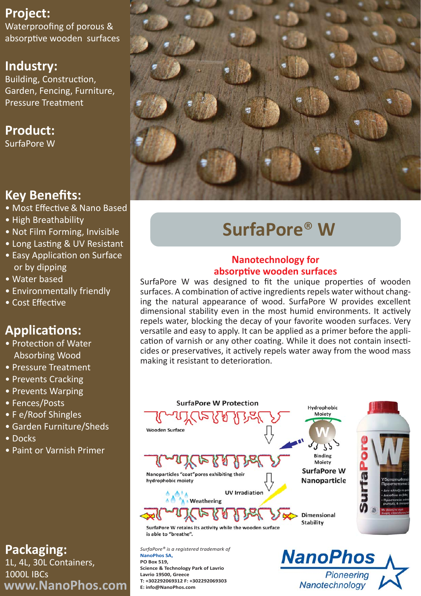# **Project:**

Waterproofing of porous & absorptive wooden surfaces

## **Industry:**

Building, Construction, Garden, Fencing, Furniture, Pressure Treatment

# **Product:**

SurfaPore W

# **Key Benefits:**

- Most Effective & Nano Based
- High Breathability
- Not Film Forming, Invisible
- Long Lasting & UV Resistant
- Easy Application on Surface or by dipping
- Water based
- Environmentally friendly
- Cost Effective

# **Applications:**

- Protection of Water Absorbing Wood
- Pressure Treatment
- Prevents Cracking
- Prevents Warping
- Fences/Posts
- F e/Roof Shingles
- Garden Furniture/Sheds
- Docks
- Paint or Varnish Primer

# **Packaging:**

1L, 4L, 30L Containers, 1000L IBCs **www.NanoPhos.com**



# **SurfaPore**® **W**

## **Nanotechnology for absorptive wooden surfaces**

SurfaPore W was designed to fit the unique properties of wooden surfaces. A combination of active ingredients repels water without changing the natural appearance of wood. SurfaPore W provides excellent dimensional stability even in the most humid environments. It actively repels water, blocking the decay of your favorite wooden surfaces. Very versatile and easy to apply. It can be applied as a primer before the application of varnish or any other coating. While it does not contain insecticides or preservatives, it actively repels water away from the wood mass making it resistant to deterioration.



Pioneering

Nanotechnology

**NanoPhos SA, PO Box 519, Science & Technology Park of Lavrio Lavrio 19500, Greece T: +302292069312 F: +302292069303 E: info@NanoPhos.com**